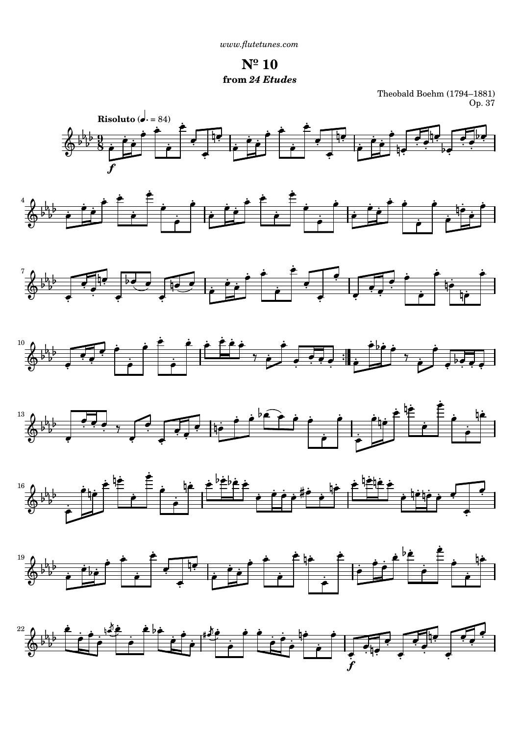**Nº 10 from** *24 Etudes*

Theobald Boehm (1794–1881) Op. 37